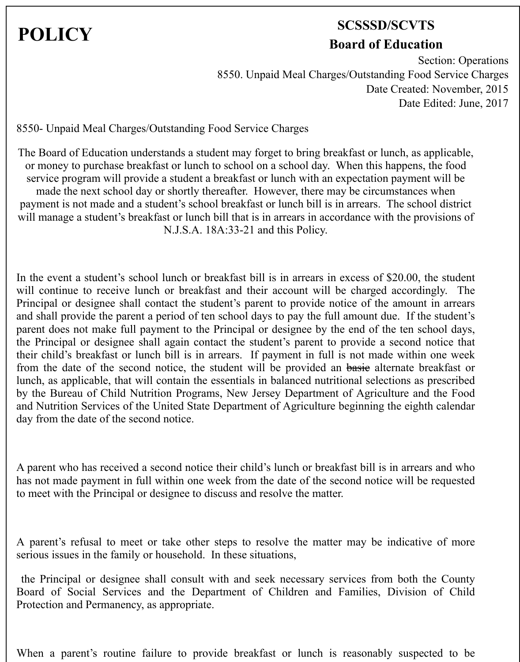## **POLICY SCSSSD/SCVTS Board of Education**

Section: Operations 8550. Unpaid Meal Charges/Outstanding Food Service Charges Date Created: November, 2015 Date Edited: June, 2017

8550- Unpaid Meal Charges/Outstanding Food Service Charges

The Board of Education understands a student may forget to bring breakfast or lunch, as applicable, or money to purchase breakfast or lunch to school on a school day. When this happens, the food service program will provide a student a breakfast or lunch with an expectation payment will be made the next school day or shortly thereafter. However, there may be circumstances when payment is not made and a student's school breakfast or lunch bill is in arrears. The school district will manage a student's breakfast or lunch bill that is in arrears in accordance with the provisions of N.J.S.A. 18A:33-21 and this Policy.

In the event a student's school lunch or breakfast bill is in arrears in excess of \$20.00, the student will continue to receive lunch or breakfast and their account will be charged accordingly. The Principal or designee shall contact the student's parent to provide notice of the amount in arrears and shall provide the parent a period of ten school days to pay the full amount due. If the student's parent does not make full payment to the Principal or designee by the end of the ten school days, the Principal or designee shall again contact the student's parent to provide a second notice that their child's breakfast or lunch bill is in arrears. If payment in full is not made within one week from the date of the second notice, the student will be provided an basic alternate breakfast or lunch, as applicable, that will contain the essentials in balanced nutritional selections as prescribed by the Bureau of Child Nutrition Programs, New Jersey Department of Agriculture and the Food and Nutrition Services of the United State Department of Agriculture beginning the eighth calendar day from the date of the second notice.

A parent who has received a second notice their child's lunch or breakfast bill is in arrears and who has not made payment in full within one week from the date of the second notice will be requested to meet with the Principal or designee to discuss and resolve the matter.

A parent's refusal to meet or take other steps to resolve the matter may be indicative of more serious issues in the family or household. In these situations,

the Principal or designee shall consult with and seek necessary services from both the County Board of Social Services and the Department of Children and Families, Division of Child Protection and Permanency, as appropriate.

When a parent's routine failure to provide breakfast or lunch is reasonably suspected to be